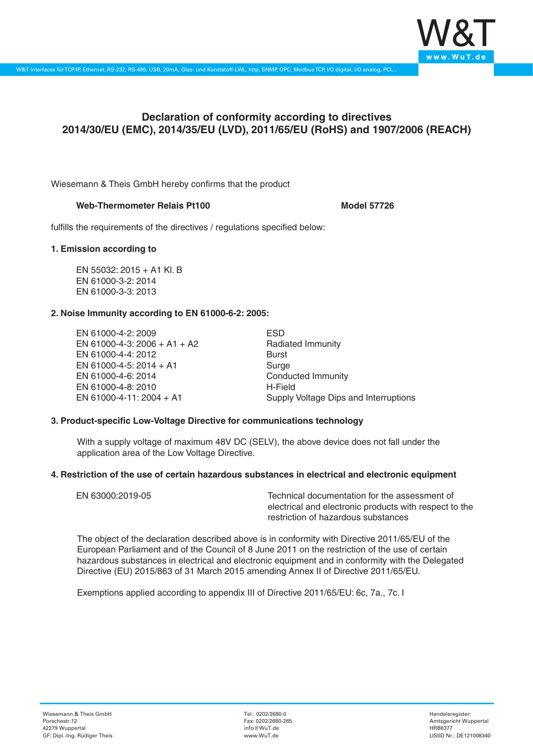

# **Declaration of conformity according to directives 2014/30/EU (EMC), 2014/35/EU (LVD), 2011/65/EU (RoHS) and 1907/2006 (REACH)**

Wiesemann & Theis GmbH hereby confirms that the product

## **Web-Thermometer Relais Pt100 Model 57726**

fulfills the requirements of the directives / regulations specified below:

## **1. Emission according to**

EN 55032: 2015 + A1 Kl. B EN 61000-3-2: 2014 EN 61000-3-3: 2013

## **2. Noise Immunity according to EN 61000-6-2: 2005:**

EN 61000-4-2: 2009 EN 61000-4-3: 2006 + A1 + A2 EN 61000-4-4: 2012 EN 61000-4-5: 2014 + A1 EN 61000-4-6: 2014 EN 61000-4-8: 2010 EN 61000-4-11: 2004 + A1

ESD Radiated Immunity Burst Surge Conducted Immunity H-Field Supply Voltage Dips and Interruptions

## **3. Product-specific Low-Voltage Directive for communications technology**

With a supply voltage of maximum 48V DC (SELV), the above device does not fall under the application area of the Low Voltage Directive.

## **4. Restriction of the use of certain hazardous substances in electrical and electronic equipment**

| EN 63000:2019-05 | Technical documentation for the assessment of          |
|------------------|--------------------------------------------------------|
|                  | electrical and electronic products with respect to the |
|                  | restriction of hazardous substances                    |

The object of the declaration described above is in conformity with Directive 2011/65/EU of the European Parliament and of the Council of 8 June 2011 on the restriction of the use of certain hazardous substances in electrical and electronic equipment and in conformity with the Delegated Directive (EU) 2015/863 of 31 March 2015 amending Annex II of Directive 2011/65/EU.

Exemptions applied according to appendix III of Directive 2011/65/EU: 6c, 7a., 7c. I